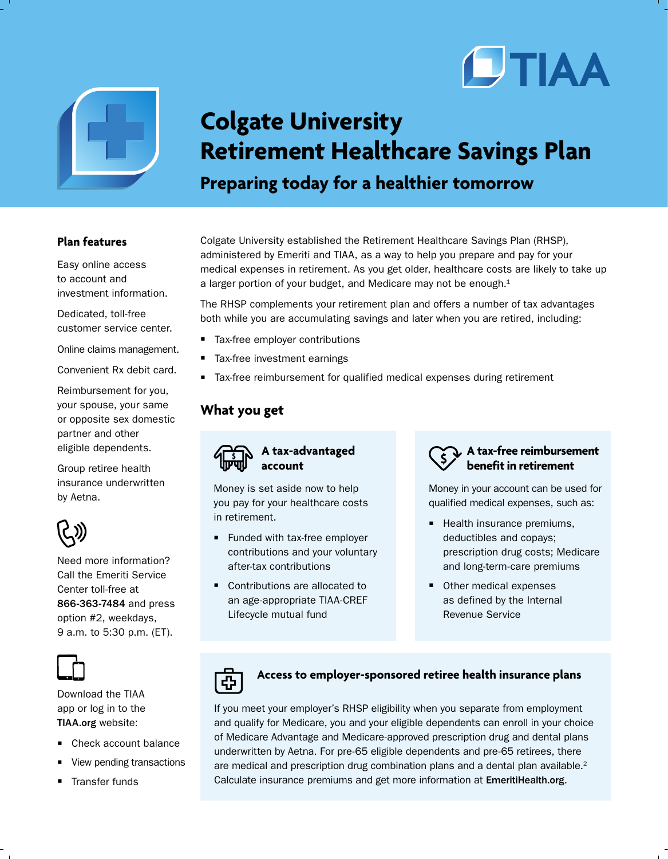



## **Colgate University Retirement Healthcare Savings Plan Preparing today for a healthier tomorrow**

## **Plan features**

Easy online access to account and investment information.

Dedicated, toll-free customer service center.

Online claims management.

Convenient Rx debit card.

Reimbursement for you, your spouse, your same or opposite sex domestic partner and other eligible dependents.

Group retiree health insurance underwritten by Aetna.



Need more information? Call the Emeriti Service Center toll-free at 866-363-7484 and press option #2, weekdays, 9 a.m. to 5:30 p.m. (ET).



Download the TIAA app or log in to the TIAA.org website:

- Check account balance
- View pending transactions
- Transfer funds

Colgate University established the Retirement Healthcare Savings Plan (RHSP), administered by Emeriti and TIAA, as a way to help you prepare and pay for your medical expenses in retirement. As you get older, healthcare costs are likely to take up a larger portion of your budget, and Medicare may not be enough. $1$ 

The RHSP complements your retirement plan and offers a number of tax advantages both while you are accumulating savings and later when you are retired, including:

- Tax-free employer contributions
- Tax-free investment earnings
- Tax-free reimbursement for qualified medical expenses during retirement

## **What you get**



Money is set aside now to help you pay for your healthcare costs in retirement.

- **Funded with tax-free employer** contributions and your voluntary after-tax contributions
- Contributions are allocated to an age-appropriate TIAA-CREF Lifecycle mutual fund



Money in your account can be used for qualified medical expenses, such as:

- $\blacksquare$  Health insurance premiums, deductibles and copays; prescription drug costs; Medicare and long-term-care premiums
- **Other medical expenses** as defined by the Internal Revenue Service



## **Access to employer-sponsored retiree health insurance plans**

If you meet your employer's RHSP eligibility when you separate from employment and qualify for Medicare, you and your eligible dependents can enroll in your choice of Medicare Advantage and Medicare-approved prescription drug and dental plans underwritten by Aetna. For pre-65 eligible dependents and pre-65 retirees, there are medical and prescription drug combination plans and a dental plan available.<sup>2</sup> Calculate insurance premiums and get more information at EmeritiHealth.org.